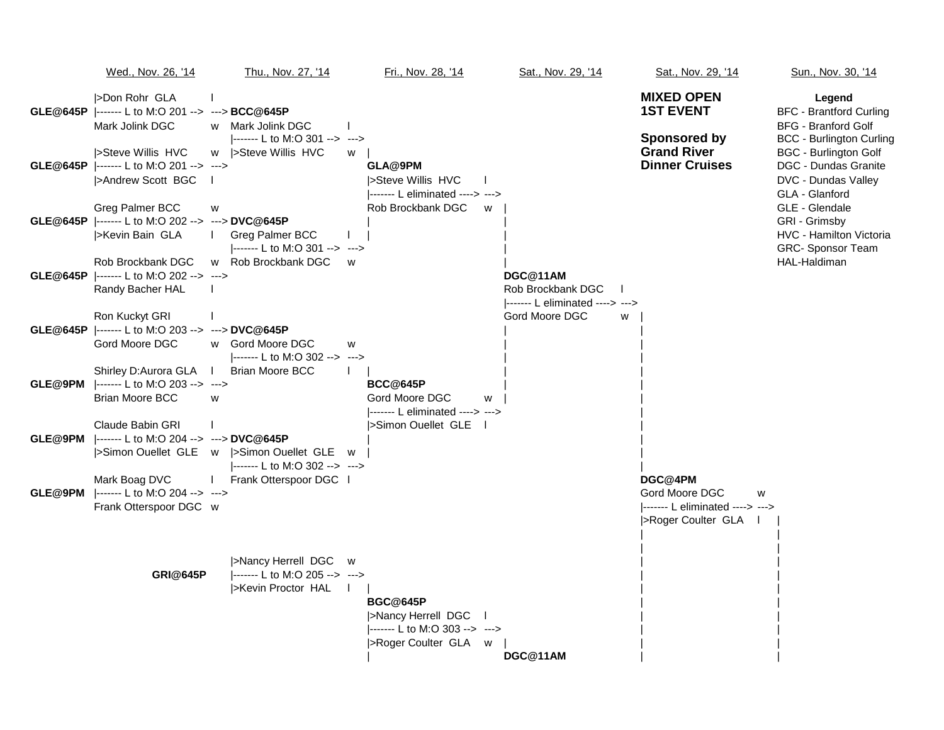|         | Wed., Nov. 26, '14                                                                     | Thu., Nov. 27, '14                                                                     | Fri., Nov. 28, '14                                                                              | Sat., Nov. 29, '14                                               | Sat., Nov. 29, '14                                                                       | Sun., Nov. 30, '14                                                                                        |
|---------|----------------------------------------------------------------------------------------|----------------------------------------------------------------------------------------|-------------------------------------------------------------------------------------------------|------------------------------------------------------------------|------------------------------------------------------------------------------------------|-----------------------------------------------------------------------------------------------------------|
|         | >Don Rohr GLA<br>GLE@645P  ------- L to M:O 201 --> ---> BCC@645P<br>Mark Jolink DGC   | w Mark Jolink DGC<br> ------- L to M:O 301 --> --->                                    |                                                                                                 |                                                                  | <b>MIXED OPEN</b><br><b>1ST EVENT</b><br>Sponsored by                                    | Legend<br><b>BFC - Brantford Curling</b><br><b>BFG - Branford Golf</b><br><b>BCC - Burlington Curling</b> |
|         | Steve Willis HVC<br>GLE@645P  ------- L to M:O 201 --> ---><br> >Andrew Scott BGC      | Steve Willis HVC<br>W                                                                  | W<br>GLA@9PM<br><b>Steve Willis HVC</b>                                                         |                                                                  | <b>Grand River</b><br><b>Dinner Cruises</b>                                              | <b>BGC - Burlington Golf</b><br>DGC - Dundas Granite<br>DVC - Dundas Valley                               |
|         | Greg Palmer BCC<br>GLE@645P  ------- L to M:O 202 --> ---> DVC@645P<br>>Kevin Bain GLA | W<br>$\mathbf{L}$<br>Greg Palmer BCC<br>$ ----- L$ to M:O 301 --> --->                 | ------- L eliminated ----> ---><br>Rob Brockbank DGC<br>W                                       |                                                                  |                                                                                          | GLA - Glanford<br>GLE - Glendale<br>GRI - Grimsby<br><b>HVC - Hamilton Victoria</b><br>GRC- Sponsor Team  |
|         | Rob Brockbank DGC<br>GLE@645P  ------- L to M:O 202 --> ---><br>Randy Bacher HAL       | w Rob Brockbank DGC                                                                    | W                                                                                               | DGC@11AM<br>Rob Brockbank DGC<br>------- L eliminated ----> ---> |                                                                                          | HAL-Haldiman                                                                                              |
|         | Ron Kuckyt GRI<br>GLE@645P  ------- L to M:O 203 --> ---> DVC@645P<br>Gord Moore DGC   | w Gord Moore DGC<br>-------- L to M:O 302 -->                                          | W<br>--->                                                                                       | Gord Moore DGC<br>w                                              |                                                                                          |                                                                                                           |
| GLE@9PM | Shirley D:Aurora GLA  <br> ------- L to M:O 203 --> ---><br><b>Brian Moore BCC</b>     | <b>Brian Moore BCC</b><br>w                                                            | <b>BCC@645P</b><br>Gord Moore DGC<br>W<br>------- L eliminated ----> --->                       |                                                                  |                                                                                          |                                                                                                           |
|         | Claude Babin GRI<br>GLE@9PM  ------- L to M:O 204 --> ---> DVC@645P                    | >Simon Ouellet GLE w  >Simon Ouellet GLE w<br> ------- L to M:O 302 --> --->           | Simon Ouellet GLE                                                                               |                                                                  |                                                                                          |                                                                                                           |
| GLE@9PM | Mark Boag DVC<br>-------- L to M:O 204 --> ---><br>Frank Otterspoor DGC w              | Frank Otterspoor DGC                                                                   |                                                                                                 |                                                                  | DGC@4PM<br>Gord Moore DGC<br>w<br>$ -----$ L eliminated ----> ---><br>>Roger Coulter GLA |                                                                                                           |
|         | <b>GRI@645P</b>                                                                        | >Nancy Herrell DGC w<br>$ $ ------- L to M:O 205 --> ---><br>>Kevin Proctor HAL<br>- 1 | <b>BGC@645P</b><br>>Nancy Herrell DGC<br> ------- L to M:O 303 --> ---><br>SRoger Coulter GLA w |                                                                  |                                                                                          |                                                                                                           |
|         |                                                                                        |                                                                                        |                                                                                                 | DGC@11AM                                                         |                                                                                          |                                                                                                           |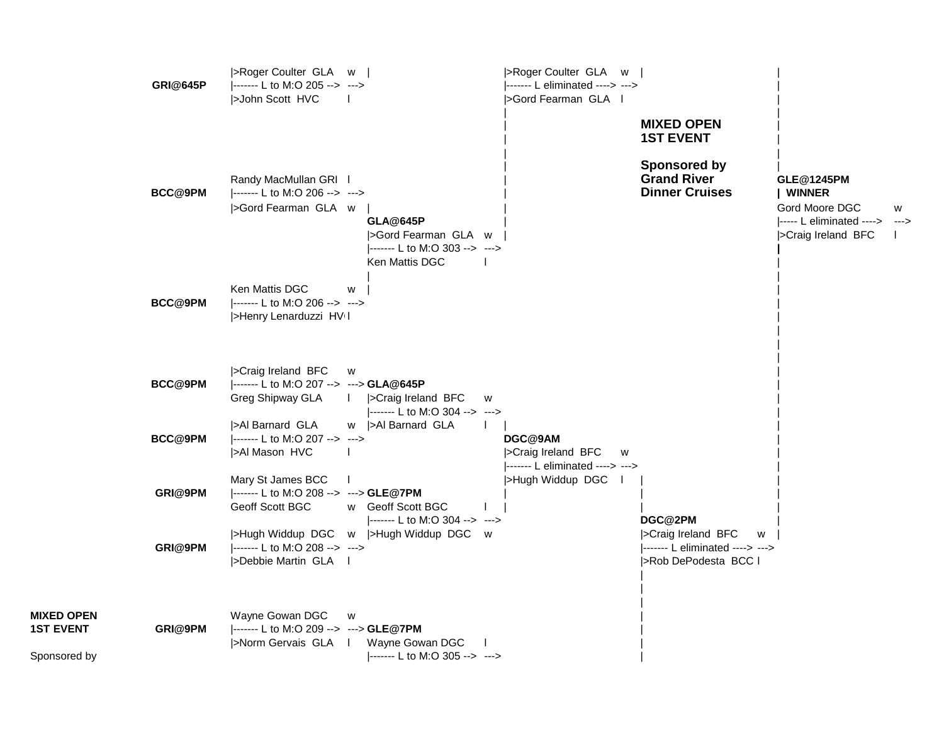|                                                       | <b>GRI@645P</b> | >Roger Coulter GLA w  <br> ------- L to M:O 205 --> ---><br>>John Scott HVC                            |                                                                          | >Roger Coulter GLA w  <br> ------- L eliminated ----> ---><br>SGord Fearman GLA |                                                                                                      |                                                                                                              |  |
|-------------------------------------------------------|-----------------|--------------------------------------------------------------------------------------------------------|--------------------------------------------------------------------------|---------------------------------------------------------------------------------|------------------------------------------------------------------------------------------------------|--------------------------------------------------------------------------------------------------------------|--|
|                                                       | BCC@9PM         | Randy MacMullan GRI I<br> ------- L to M:O 206 --> ---><br>>Gord Fearman GLA w                         | <b>GLA@645P</b><br>>Gord Fearman GLA w<br> ------- L to M:O 303 --> ---> |                                                                                 | <b>MIXED OPEN</b><br><b>1ST EVENT</b><br>Sponsored by<br><b>Grand River</b><br><b>Dinner Cruises</b> | GLE@1245PM<br><b>WINNER</b><br>Gord Moore DGC<br>w<br>$ ----- L$ eliminated ----> ---><br>>Craig Ireland BFC |  |
|                                                       | <b>BCC@9PM</b>  | Ken Mattis DGC<br>W<br> ------- L to M:O 206 --> ---><br>>Henry Lenarduzzi HVII                        | Ken Mattis DGC                                                           |                                                                                 |                                                                                                      |                                                                                                              |  |
|                                                       | BCC@9PM         | >Craig Ireland BFC<br>W<br> ------- L to M:O 207 --> ---> GLA@645P<br>Greg Shipway GLA<br>$\mathbf{L}$ | >Craig Ireland BFC<br>W<br> ------- L to M:O 304 --> --->                |                                                                                 |                                                                                                      |                                                                                                              |  |
|                                                       | <b>BCC@9PM</b>  | >Al Barnard GLA<br> ------- L to M:O 207 --> ---><br>>Al Mason HVC                                     | w  >Al Barnard GLA                                                       | DGC@9AM<br>>Craig Ireland BFC<br>W<br>------- L eliminated ----> --->           |                                                                                                      |                                                                                                              |  |
|                                                       | GRI@9PM         | Mary St James BCC<br> ------- L to M:O 208 --> ---> GLE@7PM<br>Geoff Scott BGC                         | w Geoff Scott BGC                                                        | >Hugh Widdup DGC                                                                | DGC@2PM                                                                                              |                                                                                                              |  |
|                                                       | GRI@9PM         | >Hugh Widdup DGC w  >Hugh Widdup DGC w<br> ------- L to M:O 208 --> ---><br>>Debbie Martin GLA         | $ ----- L$ to M:O 304 --> --->                                           |                                                                                 | >Craig Ireland BFC<br>W<br> ------- L eliminated ----> ---><br>>Rob DePodesta BCC I                  |                                                                                                              |  |
| <b>MIXED OPEN</b><br><b>1ST EVENT</b><br>Sponsored by | GRI@9PM         | Wayne Gowan DGC<br>W<br> ------- L to M:O 209 --> ---> GLE@7PM<br> >Norm Gervais GLA                   | Wayne Gowan DGC<br>$ ----- L$ to M:O 305 --> --->                        |                                                                                 |                                                                                                      |                                                                                                              |  |

**MIXED OPEN<br>1ST EVENT** 

Sponsored by